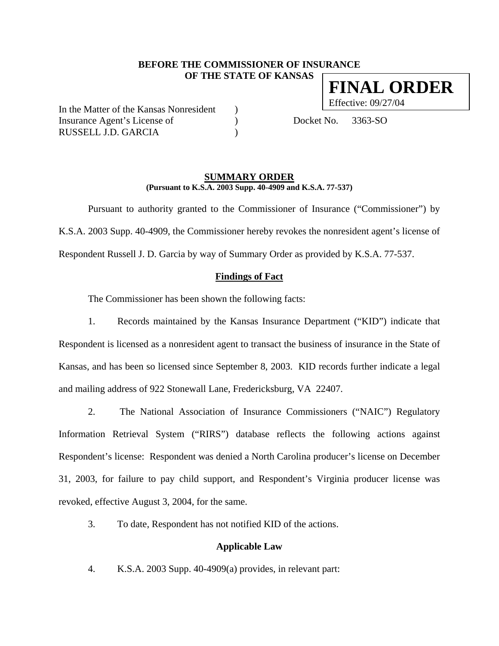# **BEFORE THE COMMISSIONER OF INSURANCE OF THE STATE OF KANSAS FINAL ORDER**

In the Matter of the Kansas Nonresident ) Insurance Agent's License of (a) Docket No. 3363-SO RUSSELL J.D. GARCIA )

Effective: 09/27/04

#### **SUMMARY ORDER (Pursuant to K.S.A. 2003 Supp. 40-4909 and K.S.A. 77-537)**

 Pursuant to authority granted to the Commissioner of Insurance ("Commissioner") by K.S.A. 2003 Supp. 40-4909, the Commissioner hereby revokes the nonresident agent's license of Respondent Russell J. D. Garcia by way of Summary Order as provided by K.S.A. 77-537.

### **Findings of Fact**

The Commissioner has been shown the following facts:

1. Records maintained by the Kansas Insurance Department ("KID") indicate that Respondent is licensed as a nonresident agent to transact the business of insurance in the State of Kansas, and has been so licensed since September 8, 2003. KID records further indicate a legal and mailing address of 922 Stonewall Lane, Fredericksburg, VA 22407.

2. The National Association of Insurance Commissioners ("NAIC") Regulatory Information Retrieval System ("RIRS") database reflects the following actions against Respondent's license: Respondent was denied a North Carolina producer's license on December 31, 2003, for failure to pay child support, and Respondent's Virginia producer license was revoked, effective August 3, 2004, for the same.

3. To date, Respondent has not notified KID of the actions.

#### **Applicable Law**

4. K.S.A. 2003 Supp. 40-4909(a) provides, in relevant part: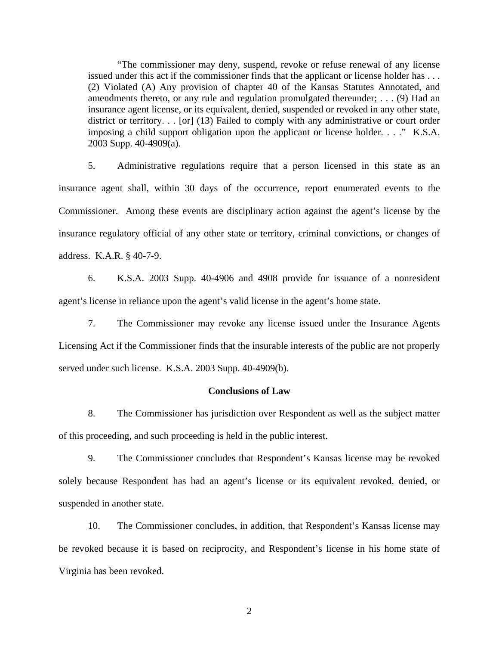"The commissioner may deny, suspend, revoke or refuse renewal of any license issued under this act if the commissioner finds that the applicant or license holder has . . . (2) Violated (A) Any provision of chapter 40 of the Kansas Statutes Annotated, and amendments thereto, or any rule and regulation promulgated thereunder; . . . (9) Had an insurance agent license, or its equivalent, denied, suspended or revoked in any other state, district or territory. . . [or] (13) Failed to comply with any administrative or court order imposing a child support obligation upon the applicant or license holder. . . ." K.S.A. 2003 Supp. 40-4909(a).

5. Administrative regulations require that a person licensed in this state as an insurance agent shall, within 30 days of the occurrence, report enumerated events to the Commissioner. Among these events are disciplinary action against the agent's license by the insurance regulatory official of any other state or territory, criminal convictions, or changes of address. K.A.R. § 40-7-9.

6. K.S.A. 2003 Supp. 40-4906 and 4908 provide for issuance of a nonresident agent's license in reliance upon the agent's valid license in the agent's home state.

7. The Commissioner may revoke any license issued under the Insurance Agents Licensing Act if the Commissioner finds that the insurable interests of the public are not properly served under such license. K.S.A. 2003 Supp. 40-4909(b).

### **Conclusions of Law**

8. The Commissioner has jurisdiction over Respondent as well as the subject matter of this proceeding, and such proceeding is held in the public interest.

9. The Commissioner concludes that Respondent's Kansas license may be revoked solely because Respondent has had an agent's license or its equivalent revoked, denied, or suspended in another state.

10. The Commissioner concludes, in addition, that Respondent's Kansas license may be revoked because it is based on reciprocity, and Respondent's license in his home state of Virginia has been revoked.

2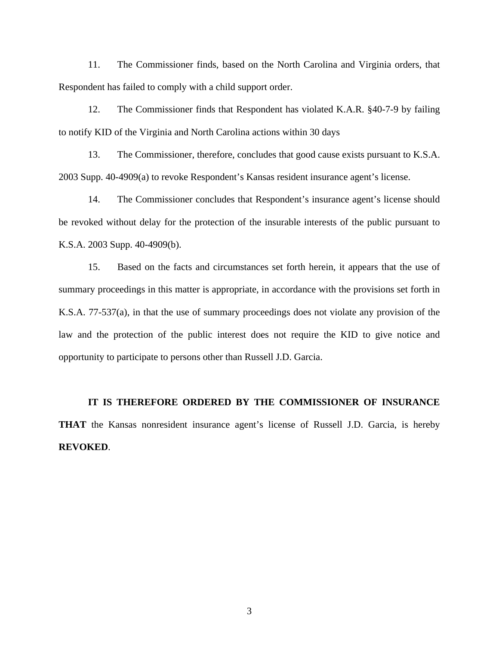11. The Commissioner finds, based on the North Carolina and Virginia orders, that Respondent has failed to comply with a child support order.

12. The Commissioner finds that Respondent has violated K.A.R. §40-7-9 by failing to notify KID of the Virginia and North Carolina actions within 30 days

13. The Commissioner, therefore, concludes that good cause exists pursuant to K.S.A. 2003 Supp. 40-4909(a) to revoke Respondent's Kansas resident insurance agent's license.

14. The Commissioner concludes that Respondent's insurance agent's license should be revoked without delay for the protection of the insurable interests of the public pursuant to K.S.A. 2003 Supp. 40-4909(b).

15. Based on the facts and circumstances set forth herein, it appears that the use of summary proceedings in this matter is appropriate, in accordance with the provisions set forth in K.S.A. 77-537(a), in that the use of summary proceedings does not violate any provision of the law and the protection of the public interest does not require the KID to give notice and opportunity to participate to persons other than Russell J.D. Garcia.

**IT IS THEREFORE ORDERED BY THE COMMISSIONER OF INSURANCE THAT** the Kansas nonresident insurance agent's license of Russell J.D. Garcia, is hereby **REVOKED**.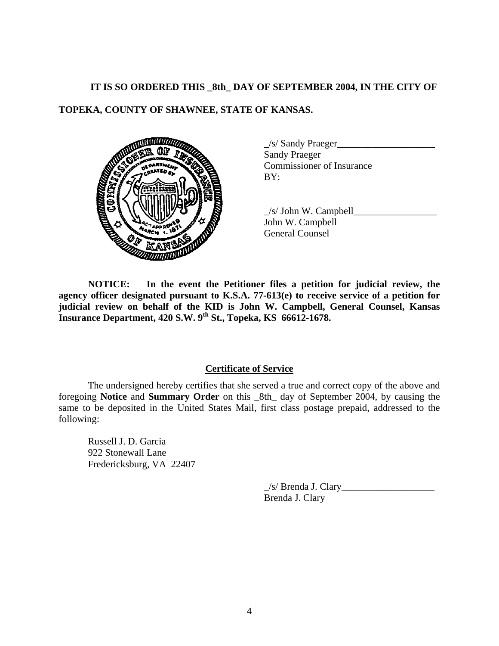## **IT IS SO ORDERED THIS \_8th\_ DAY OF SEPTEMBER 2004, IN THE CITY OF**

# **TOPEKA, COUNTY OF SHAWNEE, STATE OF KANSAS.**



 $\angle$ /s/ Sandy Praeger $\angle$ Sandy Praeger Commissioner of Insurance

 $\angle$ s/ John W. Campbell $\Box$ John W. Campbell General Counsel

**NOTICE: In the event the Petitioner files a petition for judicial review, the agency officer designated pursuant to K.S.A. 77-613(e) to receive service of a petition for judicial review on behalf of the KID is John W. Campbell, General Counsel, Kansas Insurance Department, 420 S.W. 9th St., Topeka, KS 66612-1678.** 

### **Certificate of Service**

 The undersigned hereby certifies that she served a true and correct copy of the above and foregoing **Notice** and **Summary Order** on this \_8th\_ day of September 2004, by causing the same to be deposited in the United States Mail, first class postage prepaid, addressed to the following:

Russell J. D. Garcia 922 Stonewall Lane Fredericksburg, VA 22407

> $\angle$ s/ Brenda J. Clary $\angle$ Brenda J. Clary